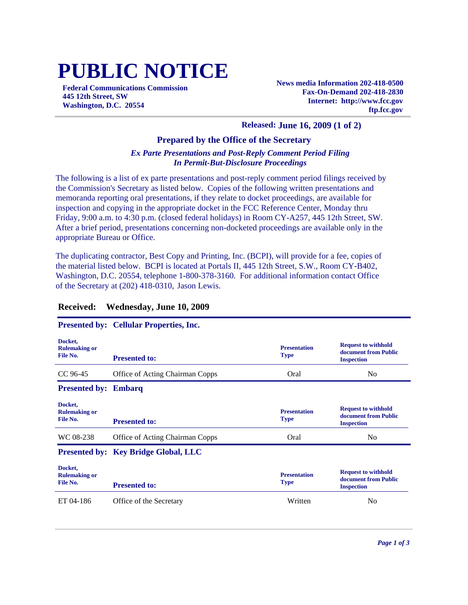# **PUBLIC NOTICE**

**Federal Communications Commission 445 12th Street, SW Washington, D.C. 20554**

**News media Information 202-418-0500 Fax-On-Demand 202-418-2830 Internet: http://www.fcc.gov ftp.fcc.gov**

## **Released: June 16, 2009 (1 of 2)**

### **Prepared by the Office of the Secretary**

# *Ex Parte Presentations and Post-Reply Comment Period Filing In Permit-But-Disclosure Proceedings*

The following is a list of ex parte presentations and post-reply comment period filings received by the Commission's Secretary as listed below. Copies of the following written presentations and memoranda reporting oral presentations, if they relate to docket proceedings, are available for inspection and copying in the appropriate docket in the FCC Reference Center, Monday thru Friday, 9:00 a.m. to 4:30 p.m. (closed federal holidays) in Room CY-A257, 445 12th Street, SW. After a brief period, presentations concerning non-docketed proceedings are available only in the appropriate Bureau or Office.

The duplicating contractor, Best Copy and Printing, Inc. (BCPI), will provide for a fee, copies of the material listed below. BCPI is located at Portals II, 445 12th Street, S.W., Room CY-B402, Washington, D.C. 20554, telephone 1-800-378-3160. For additional information contact Office of the Secretary at (202) 418-0310, Jason Lewis.

#### **Presented by: Cellular Properties, Inc. Docket, Rulemaking or File No. Presentation Type Request to withhold document from Public Presented to: Inspection Inspection Inspection** CC 96-45 Office of Acting Chairman Copps Oral No **Presented by: Embarq Docket, Rulemaking or File No. Presentation Type Request to withhold document from Public Presented to: If the second is a second inspection** WC 08-238 Office of Acting Chairman Copps Oral Oral No **Presented by: Key Bridge Global, LLC Docket, Rulemaking or File No. Presentation Type Request to withhold document from Public Presented to:** ET 04-186 Office of the Secretary Written No Office of the Secretary No Office 1981

# **Received: Wednesday, June 10, 2009**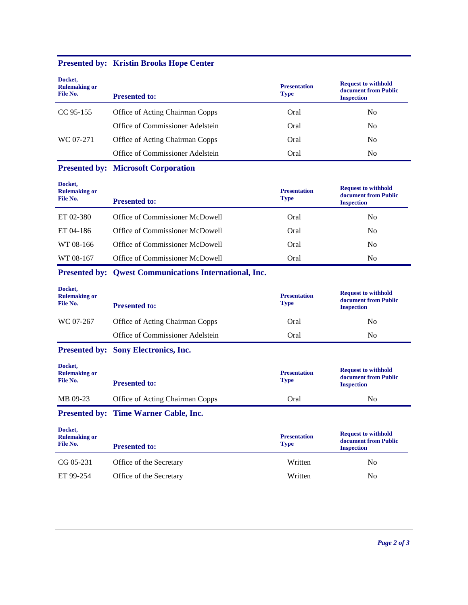| Docket,<br><b>Rulemaking or</b><br>File No. | <b>Presented to:</b>                                          | <b>Presentation</b><br><b>Type</b> | <b>Request to withhold</b><br>document from Public<br><b>Inspection</b> |
|---------------------------------------------|---------------------------------------------------------------|------------------------------------|-------------------------------------------------------------------------|
| CC 95-155                                   | Office of Acting Chairman Copps                               | Oral                               | N <sub>0</sub>                                                          |
|                                             | Office of Commissioner Adelstein                              | Oral                               | No                                                                      |
| WC 07-271                                   | Office of Acting Chairman Copps                               | Oral                               | N <sub>0</sub>                                                          |
|                                             | Office of Commissioner Adelstein                              | Oral                               | N <sub>0</sub>                                                          |
|                                             | <b>Presented by: Microsoft Corporation</b>                    |                                    |                                                                         |
| Docket,<br><b>Rulemaking or</b><br>File No. | <b>Presented to:</b>                                          | <b>Presentation</b><br>Type        | <b>Request to withhold</b><br>document from Public<br><b>Inspection</b> |
| ET 02-380                                   | Office of Commissioner McDowell                               | Oral                               | No                                                                      |
| ET 04-186                                   | Office of Commissioner McDowell                               | Oral                               | No                                                                      |
| WT 08-166                                   | Office of Commissioner McDowell                               | Oral                               | N <sub>0</sub>                                                          |
| WT 08-167                                   | Office of Commissioner McDowell                               | Oral                               | N <sub>0</sub>                                                          |
|                                             | <b>Presented by: Qwest Communications International, Inc.</b> |                                    |                                                                         |
| Docket,<br><b>Rulemaking or</b><br>File No. | <b>Presented to:</b>                                          | <b>Presentation</b><br><b>Type</b> | <b>Request to withhold</b><br>document from Public<br><b>Inspection</b> |
| WC 07-267                                   | <b>Office of Acting Chairman Copps</b>                        | Oral                               | No                                                                      |
|                                             | Office of Commissioner Adelstein                              | Oral                               | N <sub>0</sub>                                                          |
|                                             | <b>Presented by: Sony Electronics, Inc.</b>                   |                                    |                                                                         |
| Docket,<br><b>Rulemaking or</b><br>File No. | <b>Presented to:</b>                                          | <b>Presentation</b><br><b>Type</b> | <b>Request to withhold</b><br>document from Public<br><b>Inspection</b> |
| MB 09-23                                    | Office of Acting Chairman Copps                               | Oral                               | N <sub>o</sub>                                                          |

# **Presented by: Kristin Brooks Hope Center**

**Presented by: Time Warner Cable, Inc.**

| Docket,<br><b>Rulemaking or</b><br>File No. | <b>Presented to:</b>    | <b>Presentation</b><br><b>Type</b> | <b>Request to withhold</b><br>document from Public<br><b>Inspection</b> |
|---------------------------------------------|-------------------------|------------------------------------|-------------------------------------------------------------------------|
| CG 05-231                                   | Office of the Secretary | Written                            | No                                                                      |
| ET 99-254                                   | Office of the Secretary | Written                            | No                                                                      |